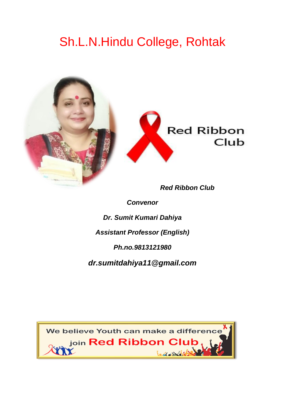## Sh.L.N.Hindu College, Rohtak



*Red Ribbon Club*

*Convenor*

*Dr. Sumit Kumari Dahiya*

*Assistant Professor (English)*

*Ph.no.9813121980*

*dr.sumitdahiya11@gmail.com*

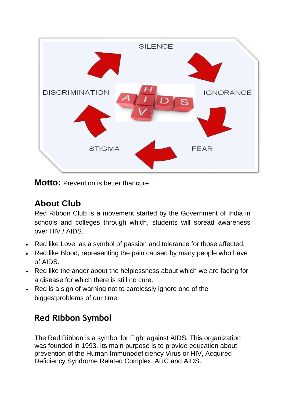

**Motto:** Prevention is better thancure

#### **About Club**

Red Ribbon Club is a movement started by the Government of India in schools and colleges through which, students will spread awareness over HIV / AIDS.

- Red like Love, as a symbol of passion and tolerance for those affected.
- Red like Blood, representing the pain caused by many people who have of AIDS.
- Red like the anger about the helplessness about which we are facing for a disease for which there is still no cure.
- Red is a sign of warning not to carelessly ignore one of the biggestproblems of our time.

### **Red Ribbon Symbol**

The Red Ribbon is a symbol for Fight against AIDS. This organization was founded in 1993. Its main purpose is to provide education about prevention of the Human Immunodeficiency Virus or HIV, Acquired Deficiency Syndrome Related Complex, ARC and AIDS.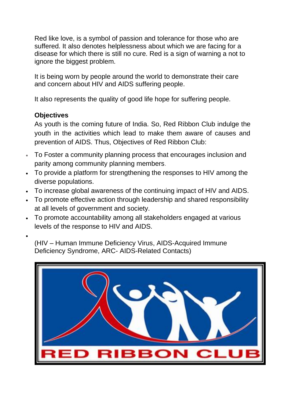Red like love, is a symbol of passion and tolerance for those who are suffered. It also denotes helplessness about which we are facing for a disease for which there is still no cure. Red is a sign of warning a not to ignore the biggest problem.

It is being worn by people around the world to demonstrate their care and concern about HIV and AIDS suffering people.

It also represents the quality of good life hope for suffering people.

#### **Objectives**

As youth is the coming future of India. So, Red Ribbon Club indulge the youth in the activities which lead to make them aware of causes and prevention of AIDS. Thus, Objectives of Red Ribbon Club:

- To Foster a community planning process that encourages inclusion and parity among community planning members.
- To provide a platform for strengthening the responses to HIV among the diverse populations.
- To increase global awareness of the continuing impact of HIV and AIDS.
- To promote effective action through leadership and shared responsibility at all levels of government and society.
- To promote accountability among all stakeholders engaged at various levels of the response to HIV and AIDS.
- •

(HIV – Human Immune Deficiency Virus, AIDS-Acquired Immune Deficiency Syndrome, ARC- AIDS-Related Contacts)